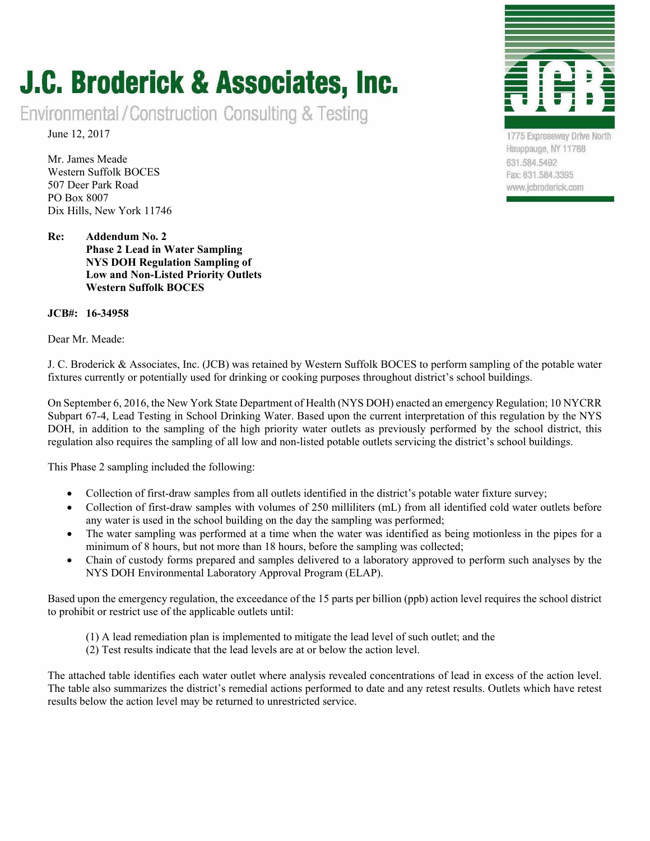### J.C. Broderick & Associates, Inc.

Environmental/Construction Consulting & Testing

June 12, 2017

Mr. James Meade Western Suffolk BOCES 507 Deer Park Road PO Box 8007 Dix Hills, New York 11746

**Re: Addendum No. 2 Phase 2 Lead in Water Sampling NYS DOH Regulation Sampling of Low and Non-Listed Priority Outlets Western Suffolk BOCES** 

#### **JCB#: 16-34958**

Dear Mr. Meade:



1775 Expressway Drive North Hauppauge, NY 11788 631.584.5492 Fax: 631.584.3395 www.jcbroderick.com

J. C. Broderick & Associates, Inc. (JCB) was retained by Western Suffolk BOCES to perform sampling of the potable water fixtures currently or potentially used for drinking or cooking purposes throughout district's school buildings.

On September 6, 2016, the New York State Department of Health (NYS DOH) enacted an emergency Regulation; 10 NYCRR Subpart 67-4, Lead Testing in School Drinking Water. Based upon the current interpretation of this regulation by the NYS DOH, in addition to the sampling of the high priority water outlets as previously performed by the school district, this regulation also requires the sampling of all low and non-listed potable outlets servicing the district's school buildings.

This Phase 2 sampling included the following:

- Collection of first-draw samples from all outlets identified in the district's potable water fixture survey;
- Collection of first-draw samples with volumes of 250 milliliters (mL) from all identified cold water outlets before any water is used in the school building on the day the sampling was performed;
- The water sampling was performed at a time when the water was identified as being motionless in the pipes for a minimum of 8 hours, but not more than 18 hours, before the sampling was collected;
- Chain of custody forms prepared and samples delivered to a laboratory approved to perform such analyses by the NYS DOH Environmental Laboratory Approval Program (ELAP).

Based upon the emergency regulation, the exceedance of the 15 parts per billion (ppb) action level requires the school district to prohibit or restrict use of the applicable outlets until:

- (1) A lead remediation plan is implemented to mitigate the lead level of such outlet; and the
- (2) Test results indicate that the lead levels are at or below the action level.

The attached table identifies each water outlet where analysis revealed concentrations of lead in excess of the action level. The table also summarizes the district's remedial actions performed to date and any retest results. Outlets which have retest results below the action level may be returned to unrestricted service.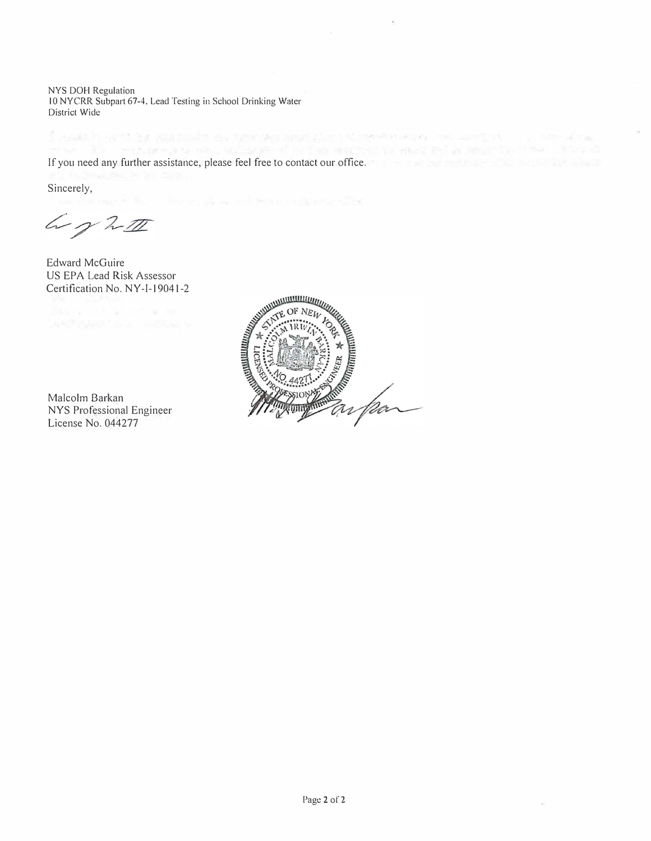NYS DOH Regulation 10 NYCRR Subpart 67-4, Lead Testing in School Drinking Water District Wide

If you need any further assistance, please feel free to contact our office.

Sincerely,

Worth

Edward McGuire US EPA Lead Risk Assessor Certification No. NY-1-19041-2

Malcolm Barkan NYS Professional Engineer License No. 044277



I contributed by sustaining as member analytics of residents to constant on the constal fact

 $\alpha$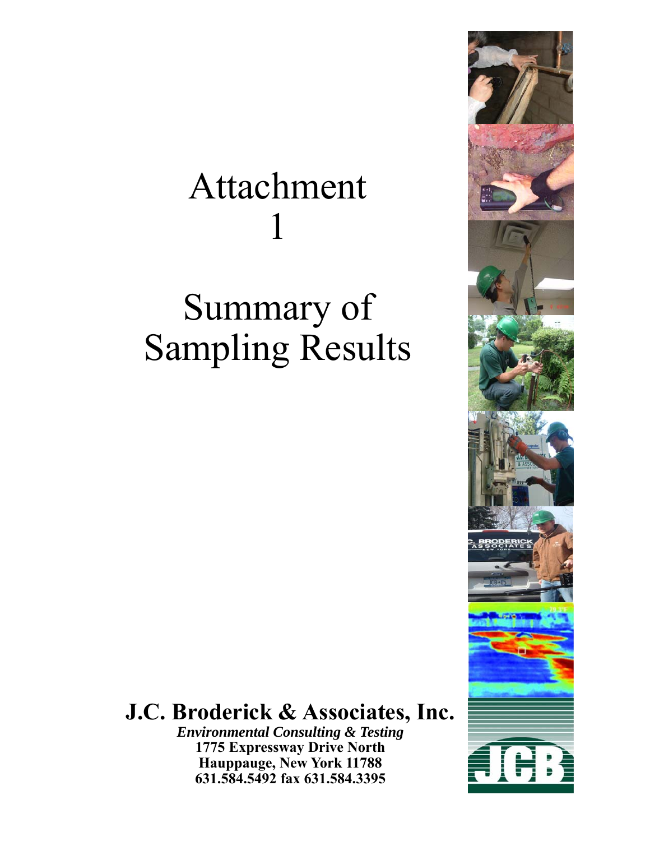# Attachment 1

# Summary of Sampling Results

#### **J.C. Broderick & Associates, Inc.**

*Environmental Consulting & Testing*  **1775 Expressway Drive North Hauppauge, New York 11788 631.584.5492 fax 631.584.3395** 

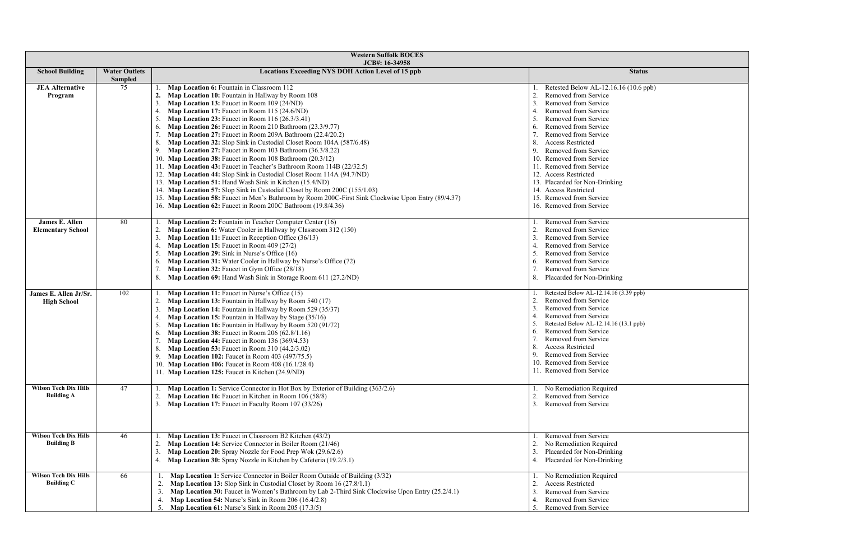| <b>Western Suffolk BOCES</b><br>JCB#: 16-34958    |                      |                                                                                                       |                                        |  |
|---------------------------------------------------|----------------------|-------------------------------------------------------------------------------------------------------|----------------------------------------|--|
| <b>School Building</b>                            | <b>Water Outlets</b> | <b>Locations Exceeding NYS DOH Action Level of 15 ppb</b>                                             | <b>Status</b>                          |  |
|                                                   | <b>Sampled</b>       |                                                                                                       |                                        |  |
| <b>JEA Alternative</b>                            | 75                   | Map Location 6: Fountain in Classroom 112                                                             | Retested Below AL-12.16.16 (10.6 ppb)  |  |
| Program                                           |                      | Map Location 10: Fountain in Hallway by Room 108                                                      | Removed from Service<br>2.             |  |
|                                                   |                      | Map Location 13: Faucet in Room 109 (24/ND)                                                           | Removed from Service                   |  |
|                                                   |                      | Map Location 17: Faucet in Room 115 (24.6/ND)                                                         | Removed from Service                   |  |
|                                                   |                      | <b>Map Location 23: Faucet in Room 116 (26.3/3.41)</b>                                                | Removed from Service                   |  |
|                                                   |                      | Map Location 26: Faucet in Room 210 Bathroom (23.3/9.77)<br>6.                                        | Removed from Service                   |  |
|                                                   |                      | Map Location 27: Faucet in Room 209A Bathroom (22.4/20.2)                                             | Removed from Service                   |  |
|                                                   |                      | 8.<br>Map Location 32: Slop Sink in Custodial Closet Room 104A (587/6.48)                             | <b>Access Restricted</b><br>8.         |  |
|                                                   |                      | 9.<br><b>Map Location 27:</b> Faucet in Room 103 Bathroom (36.3/8.22)                                 | 9.<br>Removed from Service             |  |
|                                                   |                      | 10. Map Location 38: Faucet in Room 108 Bathroom (20.3/12)                                            | 10. Removed from Service               |  |
|                                                   |                      | 11. Map Location 43: Faucet in Teacher's Bathroom Room 114B (22/32.5)                                 | 11. Removed from Service               |  |
|                                                   |                      | 12. Map Location 44: Slop Sink in Custodial Closet Room 114A (94.7/ND)                                | 12. Access Restricted                  |  |
|                                                   |                      | 13. Map Location 51: Hand Wash Sink in Kitchen (15.4/ND)                                              | 13. Placarded for Non-Drinking         |  |
|                                                   |                      | 14. Map Location 57: Slop Sink in Custodial Closet by Room 200C (155/1.03)                            | 14. Access Restricted                  |  |
|                                                   |                      | 15. Map Location 58: Faucet in Men's Bathroom by Room 200C-First Sink Clockwise Upon Entry (89/4.37)  | 15. Removed from Service               |  |
|                                                   |                      | 16. Map Location 62: Faucet in Room 200C Bathroom (19.8/4.36)                                         | 16. Removed from Service               |  |
| James E. Allen                                    | 80                   | Map Location 2: Fountain in Teacher Computer Center (16)                                              | Removed from Service                   |  |
| <b>Elementary School</b>                          |                      | Map Location 6: Water Cooler in Hallway by Classroom 312 (150)                                        | Removed from Service                   |  |
|                                                   |                      | Map Location 11: Faucet in Reception Office (36/13)                                                   | Removed from Service                   |  |
|                                                   |                      | Map Location 15: Faucet in Room 409 (27/2)<br>4                                                       | Removed from Service<br>4.             |  |
|                                                   |                      | Map Location 29: Sink in Nurse's Office (16)                                                          | .5.<br>Removed from Service            |  |
|                                                   |                      | Map Location 31: Water Cooler in Hallway by Nurse's Office (72)<br>6.                                 | Removed from Service<br>6.             |  |
|                                                   |                      | Map Location 32: Faucet in Gym Office (28/18)                                                         | Removed from Service                   |  |
|                                                   |                      | Map Location 69: Hand Wash Sink in Storage Room 611 (27.2/ND)<br>8.                                   | Placarded for Non-Drinking<br>8.       |  |
|                                                   |                      |                                                                                                       |                                        |  |
| James E. Allen Jr/Sr.                             | 102                  | Map Location 11: Faucet in Nurse's Office (15)                                                        | Retested Below AL-12.14.16 (3.39 ppb)  |  |
| <b>High School</b>                                |                      | Map Location 13: Fountain in Hallway by Room 540 (17)                                                 | Removed from Service                   |  |
|                                                   |                      | Map Location 14: Fountain in Hallway by Room 529 (35/37)                                              | Removed from Service                   |  |
|                                                   |                      | Map Location 15: Fountain in Hallway by Stage (35/16)                                                 | Removed from Service                   |  |
|                                                   |                      | Map Location 16: Fountain in Hallway by Room 520 (91/72)                                              | Retested Below AL-12.14.16 (13.1 ppb)  |  |
|                                                   |                      | <b>Map Location 38:</b> Faucet in Room 206 (62.8/1.16)<br>6.                                          | Removed from Service<br>6.             |  |
|                                                   |                      | Map Location 44: Faucet in Room 136 (369/4.53)                                                        | Removed from Service                   |  |
|                                                   |                      | <b>Map Location 53:</b> Faucet in Room $310(44.2/3.02)$                                               | <b>Access Restricted</b><br>-8.        |  |
|                                                   |                      | $\Omega$<br><b>Map Location 102:</b> Faucet in Room 403 (497/75.5)                                    | Removed from Service                   |  |
|                                                   |                      | 10. Map Location 106: Faucet in Room 408 (16.1/28.4)                                                  | 10. Removed from Service               |  |
|                                                   |                      | 11. Map Location 125: Faucet in Kitchen (24.9/ND)                                                     | 11. Removed from Service               |  |
| <b>Wilson Tech Dix Hills</b>                      | 47                   | Map Location 1: Service Connector in Hot Box by Exterior of Building (363/2.6)                        | No Remediation Required                |  |
| <b>Building A</b>                                 |                      | Map Location 16: Faucet in Kitchen in Room 106 (58/8)<br>2.                                           | Removed from Service<br>2.             |  |
|                                                   |                      | Map Location 17: Faucet in Faculty Room 107 (33/26)<br>3.                                             | Removed from Service<br>3.             |  |
|                                                   |                      |                                                                                                       |                                        |  |
|                                                   |                      |                                                                                                       |                                        |  |
|                                                   |                      |                                                                                                       |                                        |  |
| <b>Wilson Tech Dix Hills</b><br><b>Building B</b> | 46                   | Map Location 13: Faucet in Classroom B2 Kitchen (43/2)                                                | Removed from Service                   |  |
|                                                   |                      | Map Location 14: Service Connector in Boiler Room (21/46)                                             | No Remediation Required                |  |
|                                                   |                      | Map Location 20: Spray Nozzle for Food Prep Wok (29.6/2.6)<br>3                                       | Placarded for Non-Drinking             |  |
|                                                   |                      | Map Location 30: Spray Nozzle in Kitchen by Cafeteria (19.2/3.1)<br>4.                                | Placarded for Non-Drinking             |  |
| <b>Wilson Tech Dix Hills</b>                      | 66                   | Map Location 1: Service Connector in Boiler Room Outside of Building (3/32)                           | No Remediation Required                |  |
| <b>Building C</b>                                 |                      | Map Location 13: Slop Sink in Custodial Closet by Room 16 (27.8/1.1)<br>2.                            | <b>Access Restricted</b>               |  |
|                                                   |                      | Map Location 30: Faucet in Women's Bathroom by Lab 2-Third Sink Clockwise Upon Entry (25.2/4.1)<br>3. | Removed from Service                   |  |
|                                                   |                      | Map Location 54: Nurse's Sink in Room 206 (16.4/2.8)<br>4.                                            | Removed from Service<br>$\overline{4}$ |  |
|                                                   |                      | <b>Map Location 61:</b> Nurse's Sink in Room 205 (17.3/5)<br>5.                                       | Removed from Service                   |  |